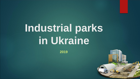**2019**

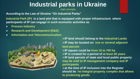*main concepts*

**According to the Law of Ukraine "On Industrial Parks"**

**Industrial Park (IP) is a land plot that is equipped with proper infrastructure where participants of IP can engage in such economic activities as**

- **Process Industry**
- **Research and Development (R&D)**
- **Information and Telecommunication**



➢**IP land should belong to the Industrial Lands** ➢**IP may be located on one or several adjacent land parcels**

➢**IP square could be from 15 to 700 ha** ➢**IP is created for a period of at least 30 years** ➢**IP land parcels of state and local public property may be sold to IP management company and IP participants**

➢**at the time of IP inclusion into the Register should be no integral property complex that allows to producing goods**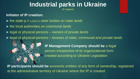*IP subjects*

#### **Initiator of IP creation:**

- ▶ the state p *IP* subjects ower bodies *on state lands*
- ▶ the local authorities *on communal lands*
- legal or physical persons owners *of private lands*
- legal or physical persons lessees of *state, communal and private lands*



**IP Management Company should be** a legal person irrespective of its organizational form created according to Ukraine Legislation

**IP participants should be** economic entities of any form of ownership, registered at the administrative territory of Ukraine where the IP is created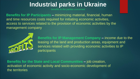*benefits to the parties concerned*

**Benefits for IP Participants –** minimizing material, financial, human and time resources costs required for initiating economic activities, access to services related to the provision of economic activities by the management company



**Benefits for IP Management Company –** income due to the leasing of the land and production areas, equipment and services related with providing economic activities to IP participants

**Benefits for the State and Local Communities –** job creation, activation of economic activity and socio-economic development of the territories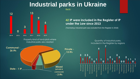



Property kind of land-plots where industrial parks are created



#### **42 IP were included in the Register of IP under the Law since 2013**

(Tsentralnyy Industrial park was excluded from the Register in 2018)

Quantity of industrial parks, included in the Register by regions

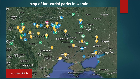#### **Map of industrial parks in Ukraine**

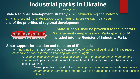*state support*

**State Regional Development Strategy 2020** defined a regional network of IP and providing state support to entities that create such parks as **one of the priorities of regional development**



**State support shall be provided to the Initiators, Management companies and Participants of IP included into the Register of Industrial Parks**

#### **State support for creation and function of IP includes:**

❖ financing from *State Regional Development Fund* of projects of building of IP infrastructure *on condition of at least 10% co-financing from local budgets*

❖*exceptions for initiators (business entities) of the IP creation and\or its management companies* to pay for development of the settlement infrastructure when they construct objects within IP

❖exemption from import duties when importing equipment and materials *that are not produced in Ukraine* and imported with the purpose of IP creation and function within IP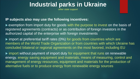*other state support*

#### **IP subjects also may use the following incentives:**

 exemption from import duty for goods with the purpose to invest on the basis of registered agreements (contracts) or as contribution of foreign investors in the authorized capital of the enterprise with foreign investments

 $\triangleright$  import at preferential tariff rates (0%) for goods from countries which are members of the World Trade Organization or from countries with which Ukraine has concluded bilateral or regional agreements on the most favored, including EU

 $\triangleright$  import without payment of import duty for equipment that runs on renewable energy, energy saving equipment and materials, means of measuring, control and management of energy resources, equipment and materials for the production of alternative fuels or to produce energy from renewable energy sources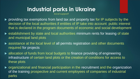### **Industrial parks in Ukraine** *local support*

**F** providing tax exemptions from land tax and property tax for IP subjects by the decision of the local authorities if entities of IP take into account public interest that is declared in the program documents of economic and social development

- ▶ establishment by state and local authorities minimum rents for leasing of state and municipal land plots
- ▶ assistance at the local level of all permits registration and other documents required for projects
- ▶ allocation of funds from local budgets to finance providing of engineering infrastructure of certain land plots or the creation of conditions for access to these plots
- ▶ organizational and financial participation in the recruitment and the organization of the training prospective and current employees of companies of industrial parks